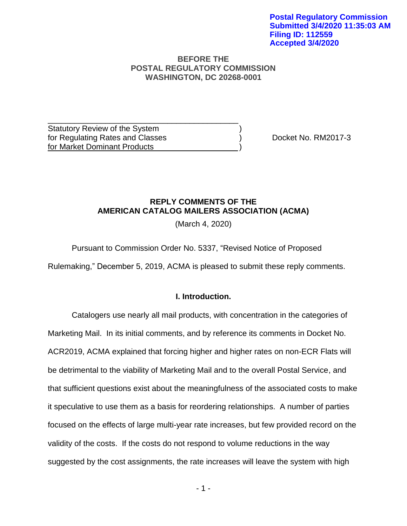### **BEFORE THE POSTAL REGULATORY COMMISSION WASHINGTON, DC 20268-0001**

Statutory Review of the System ) for Regulating Rates and Classes ) Docket No. RM2017-3 for Market Dominant Products

\_\_\_\_\_\_\_\_\_\_\_\_\_\_\_\_\_\_\_\_\_\_\_\_\_\_\_\_\_\_\_\_\_\_\_\_\_\_\_\_\_\_\_

## **REPLY COMMENTS OF THE AMERICAN CATALOG MAILERS ASSOCIATION (ACMA)**

(March 4, 2020)

Pursuant to Commission Order No. 5337, "Revised Notice of Proposed

Rulemaking," December 5, 2019, ACMA is pleased to submit these reply comments.

## **I. Introduction.**

Catalogers use nearly all mail products, with concentration in the categories of Marketing Mail. In its initial comments, and by reference its comments in Docket No. ACR2019, ACMA explained that forcing higher and higher rates on non-ECR Flats will be detrimental to the viability of Marketing Mail and to the overall Postal Service, and that sufficient questions exist about the meaningfulness of the associated costs to make it speculative to use them as a basis for reordering relationships. A number of parties focused on the effects of large multi-year rate increases, but few provided record on the validity of the costs. If the costs do not respond to volume reductions in the way suggested by the cost assignments, the rate increases will leave the system with high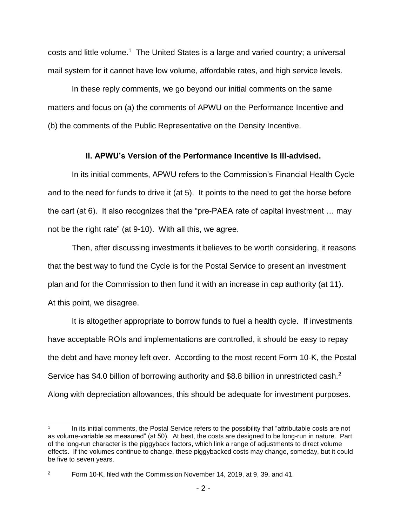costs and little volume.<sup>1</sup> The United States is a large and varied country; a universal mail system for it cannot have low volume, affordable rates, and high service levels.

In these reply comments, we go beyond our initial comments on the same matters and focus on (a) the comments of APWU on the Performance Incentive and (b) the comments of the Public Representative on the Density Incentive.

## **II. APWU's Version of the Performance Incentive Is Ill-advised.**

In its initial comments, APWU refers to the Commission's Financial Health Cycle and to the need for funds to drive it (at 5). It points to the need to get the horse before the cart (at 6). It also recognizes that the "pre-PAEA rate of capital investment … may not be the right rate" (at 9-10). With all this, we agree.

Then, after discussing investments it believes to be worth considering, it reasons that the best way to fund the Cycle is for the Postal Service to present an investment plan and for the Commission to then fund it with an increase in cap authority (at 11). At this point, we disagree.

It is altogether appropriate to borrow funds to fuel a health cycle. If investments have acceptable ROIs and implementations are controlled, it should be easy to repay the debt and have money left over. According to the most recent Form 10-K, the Postal Service has \$4.0 billion of borrowing authority and \$8.8 billion in unrestricted cash. $2$ Along with depreciation allowances, this should be adequate for investment purposes.

 $\overline{a}$ 1 In its initial comments, the Postal Service refers to the possibility that "attributable costs are not as volume-variable as measured" (at 50). At best, the costs are designed to be long-run in nature. Part of the long-run character is the piggyback factors, which link a range of adjustments to direct volume effects. If the volumes continue to change, these piggybacked costs may change, someday, but it could be five to seven years.

<sup>&</sup>lt;sup>2</sup> Form 10-K, filed with the Commission November 14, 2019, at 9, 39, and 41.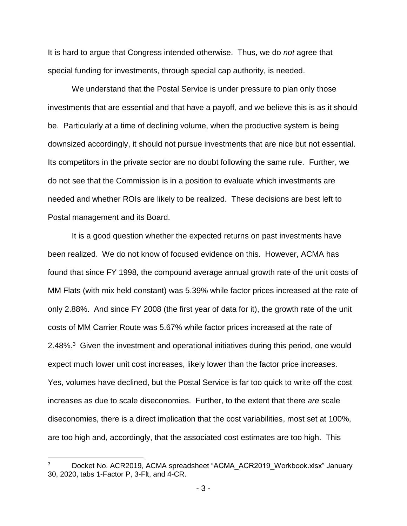It is hard to argue that Congress intended otherwise. Thus, we do *not* agree that special funding for investments, through special cap authority, is needed.

We understand that the Postal Service is under pressure to plan only those investments that are essential and that have a payoff, and we believe this is as it should be. Particularly at a time of declining volume, when the productive system is being downsized accordingly, it should not pursue investments that are nice but not essential. Its competitors in the private sector are no doubt following the same rule. Further, we do not see that the Commission is in a position to evaluate which investments are needed and whether ROIs are likely to be realized. These decisions are best left to Postal management and its Board.

It is a good question whether the expected returns on past investments have been realized. We do not know of focused evidence on this. However, ACMA has found that since FY 1998, the compound average annual growth rate of the unit costs of MM Flats (with mix held constant) was 5.39% while factor prices increased at the rate of only 2.88%. And since FY 2008 (the first year of data for it), the growth rate of the unit costs of MM Carrier Route was 5.67% while factor prices increased at the rate of 2.48%.<sup>3</sup> Given the investment and operational initiatives during this period, one would expect much lower unit cost increases, likely lower than the factor price increases. Yes, volumes have declined, but the Postal Service is far too quick to write off the cost increases as due to scale diseconomies. Further, to the extent that there *are* scale diseconomies, there is a direct implication that the cost variabilities, most set at 100%, are too high and, accordingly, that the associated cost estimates are too high. This

 $\overline{a}$ 

<sup>&</sup>lt;sup>3</sup> Docket No. ACR2019, ACMA spreadsheet "ACMA\_ACR2019\_Workbook.xlsx" January 30, 2020, tabs 1-Factor P, 3-Flt, and 4-CR.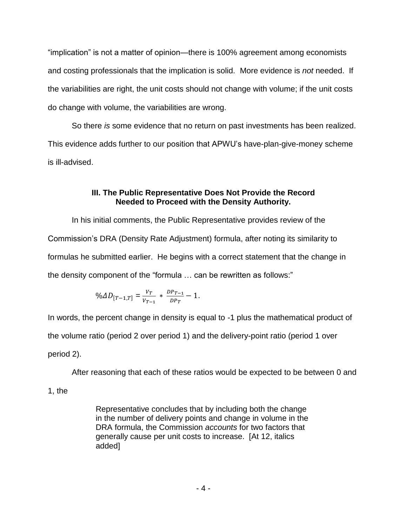"implication" is not a matter of opinion—there is 100% agreement among economists and costing professionals that the implication is solid. More evidence is *not* needed. If the variabilities are right, the unit costs should not change with volume; if the unit costs do change with volume, the variabilities are wrong.

So there *is* some evidence that no return on past investments has been realized. This evidence adds further to our position that APWU's have-plan-give-money scheme is ill-advised.

# **III. The Public Representative Does Not Provide the Record Needed to Proceed with the Density Authority.**

In his initial comments, the Public Representative provides review of the Commission's DRA (Density Rate Adjustment) formula, after noting its similarity to formulas he submitted earlier. He begins with a correct statement that the change in the density component of the "formula … can be rewritten as follows:"

$$
\%AD_{[T-1,T]} = \frac{v_T}{v_{T-1}} * \frac{DP_{T-1}}{DP_T} - 1.
$$

In words, the percent change in density is equal to -1 plus the mathematical product of the volume ratio (period 2 over period 1) and the delivery-point ratio (period 1 over period 2).

After reasoning that each of these ratios would be expected to be between 0 and

1, the

Representative concludes that by including both the change in the number of delivery points and change in volume in the DRA formula, the Commission *accounts* for two factors that generally cause per unit costs to increase. [At 12, italics added]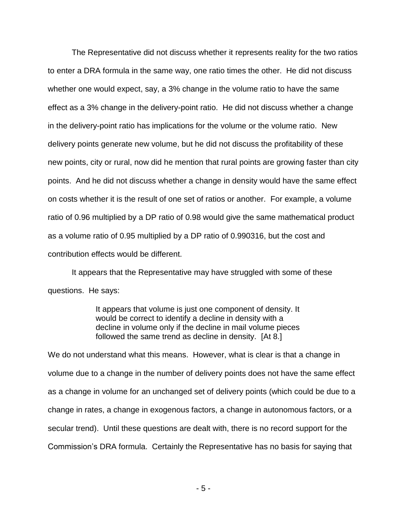The Representative did not discuss whether it represents reality for the two ratios to enter a DRA formula in the same way, one ratio times the other. He did not discuss whether one would expect, say, a 3% change in the volume ratio to have the same effect as a 3% change in the delivery-point ratio. He did not discuss whether a change in the delivery-point ratio has implications for the volume or the volume ratio. New delivery points generate new volume, but he did not discuss the profitability of these new points, city or rural, now did he mention that rural points are growing faster than city points. And he did not discuss whether a change in density would have the same effect on costs whether it is the result of one set of ratios or another. For example, a volume ratio of 0.96 multiplied by a DP ratio of 0.98 would give the same mathematical product as a volume ratio of 0.95 multiplied by a DP ratio of 0.990316, but the cost and contribution effects would be different.

It appears that the Representative may have struggled with some of these questions. He says:

> It appears that volume is just one component of density. It would be correct to identify a decline in density with a decline in volume only if the decline in mail volume pieces followed the same trend as decline in density. [At 8.]

We do not understand what this means. However, what is clear is that a change in volume due to a change in the number of delivery points does not have the same effect as a change in volume for an unchanged set of delivery points (which could be due to a change in rates, a change in exogenous factors, a change in autonomous factors, or a secular trend). Until these questions are dealt with, there is no record support for the Commission's DRA formula. Certainly the Representative has no basis for saying that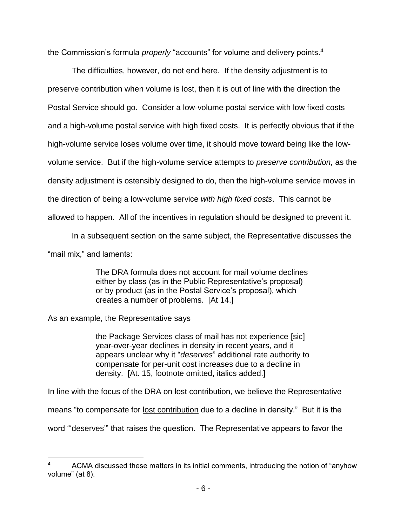the Commission's formula *properly* "accounts" for volume and delivery points.<sup>4</sup>

The difficulties, however, do not end here. If the density adjustment is to preserve contribution when volume is lost, then it is out of line with the direction the Postal Service should go. Consider a low-volume postal service with low fixed costs and a high-volume postal service with high fixed costs. It is perfectly obvious that if the high-volume service loses volume over time, it should move toward being like the lowvolume service. But if the high-volume service attempts to *preserve contribution,* as the density adjustment is ostensibly designed to do, then the high-volume service moves in the direction of being a low-volume service *with high fixed costs*. This cannot be allowed to happen. All of the incentives in regulation should be designed to prevent it.

In a subsequent section on the same subject, the Representative discusses the "mail mix," and laments:

> The DRA formula does not account for mail volume declines either by class (as in the Public Representative's proposal) or by product (as in the Postal Service's proposal), which creates a number of problems. [At 14.]

As an example, the Representative says

 $\overline{a}$ 

the Package Services class of mail has not experience [sic] year-over-year declines in density in recent years, and it appears unclear why it "*deserves*" additional rate authority to compensate for per-unit cost increases due to a decline in density. [At. 15, footnote omitted, italics added.]

In line with the focus of the DRA on lost contribution, we believe the Representative

means "to compensate for lost contribution due to a decline in density." But it is the

word "'deserves'" that raises the question. The Representative appears to favor the

<sup>4</sup> ACMA discussed these matters in its initial comments, introducing the notion of "anyhow volume" (at 8).